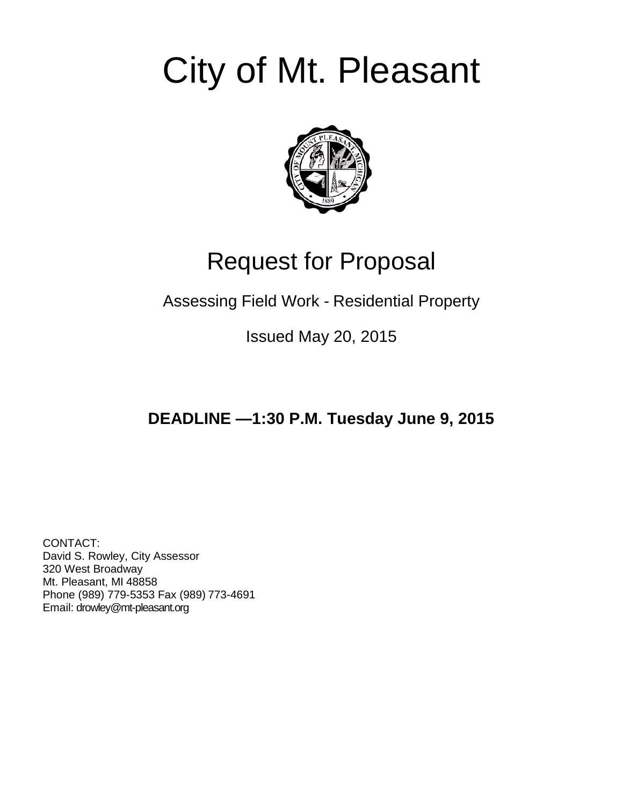# City of Mt. Pleasant



## Request for Proposal

### Assessing Field Work - Residential Property

Issued May 20, 2015

## **DEADLINE —1:30 P.M. Tuesday June 9, 2015**

CONTACT: David S. Rowley, City Assessor 320 West Broadway Mt. Pleasant, MI 48858 Phone (989) 779-5353 Fax (989) 773-4691 Email: drowley@mt-pleasant.org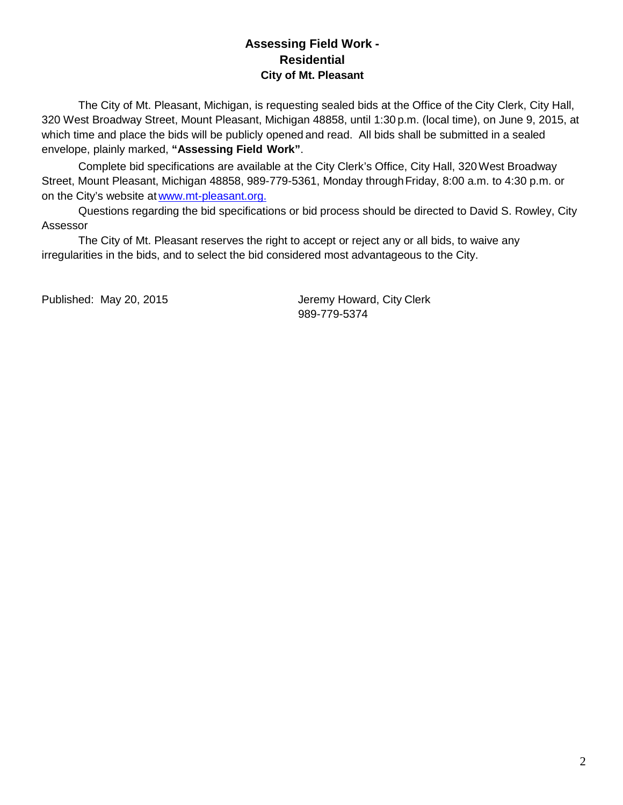#### **Assessing Field Work - Residential City of Mt. Pleasant**

The City of Mt. Pleasant, Michigan, is requesting sealed bids at the Office of the City Clerk, City Hall, 320 West Broadway Street, Mount Pleasant, Michigan 48858, until 1:30 p.m. (local time), on June 9, 2015, at which time and place the bids will be publicly opened and read. All bids shall be submitted in a sealed envelope, plainly marked, **"Assessing Field Work"**.

Complete bid specifications are available at the City Clerk's Office, City Hall, 320West Broadway Street, Mount Pleasant, Michigan 48858, 989-779-5361, Monday through Friday, 8:00 a.m. to 4:30 p.m. or on the City's website at [www.mt-pleasant.org.](http://www.mt-pleasant.org/)

Questions regarding the bid specifications or bid process should be directed to David S. Rowley, City Assessor

The City of Mt. Pleasant reserves the right to accept or reject any or all bids, to waive any irregularities in the bids, and to select the bid considered most advantageous to the City.

Published: May 20, 2015 **Jeremy Howard, City Clerk** 989-779-5374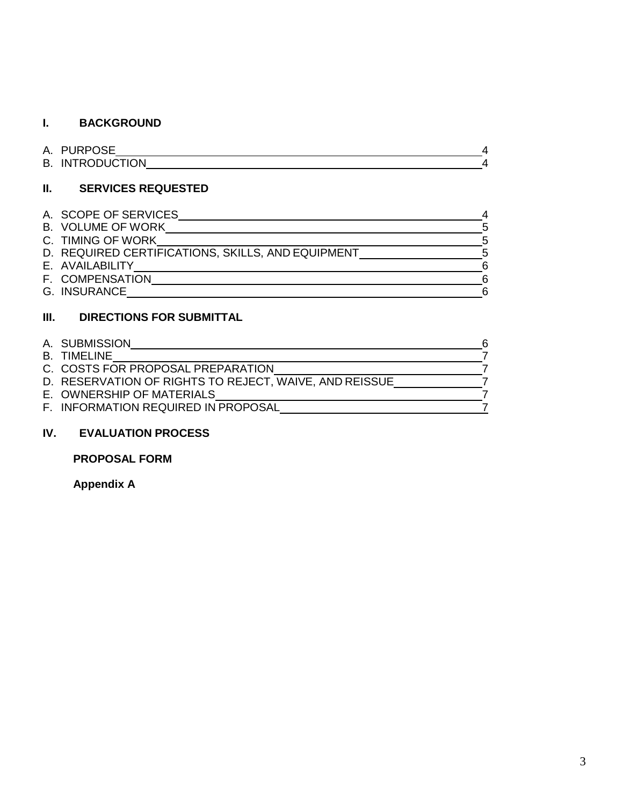#### **I. BACKGROUND**

| A. PURPOSE             |  |
|------------------------|--|
| <b>B. INTRODUCTION</b> |  |

#### **II. SERVICES REQUESTED**

| A. SCOPE OF SERVICES                              |    |
|---------------------------------------------------|----|
| <b>B. VOLUME OF WORK</b>                          | 5  |
| C. TIMING OF WORK                                 | -5 |
| D. REQUIRED CERTIFICATIONS, SKILLS, AND EQUIPMENT | 5  |
| E. AVAILABILITY                                   | 6  |
| F. COMPENSATION                                   | 6  |
| G. INSURANCE                                      | հ  |

#### **III. DIRECTIONS FOR SUBMITTAL**

| A. SUBMISSION                                          | 6 |
|--------------------------------------------------------|---|
| B. TIMELINE                                            |   |
| C. COSTS FOR PROPOSAL PREPARATION                      |   |
| D. RESERVATION OF RIGHTS TO REJECT, WAIVE, AND REISSUE |   |
| E. OWNERSHIP OF MATERIALS                              |   |
| F. INFORMATION REQUIRED IN PROPOSAL                    |   |

#### **IV. EVALUATION PROCESS**

#### **PROPOSAL FORM**

**Appendix A**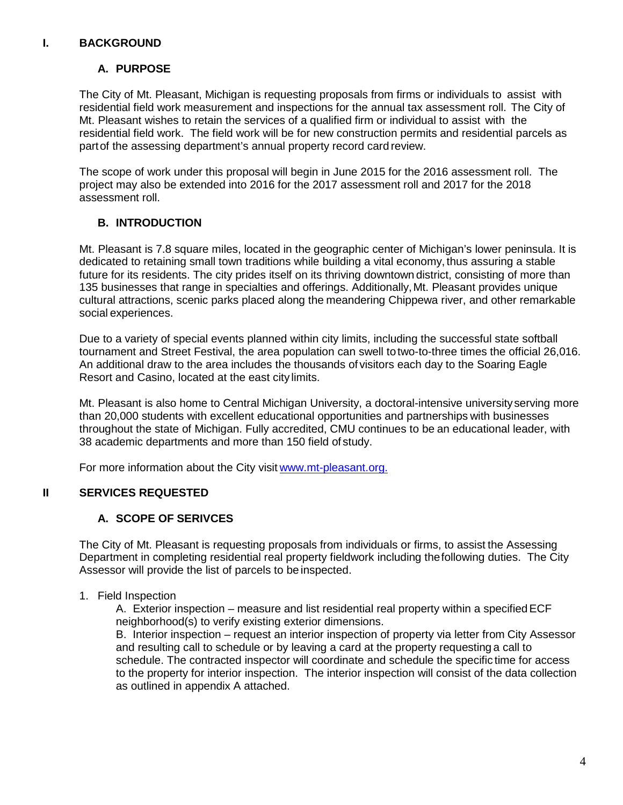#### **I. BACKGROUND**

#### **A. PURPOSE**

The City of Mt. Pleasant, Michigan is requesting proposals from firms or individuals to assist with residential field work measurement and inspections for the annual tax assessment roll. The City of Mt. Pleasant wishes to retain the services of a qualified firm or individual to assist with the residential field work. The field work will be for new construction permits and residential parcels as partof the assessing department's annual property record card review.

The scope of work under this proposal will begin in June 2015 for the 2016 assessment roll. The project may also be extended into 2016 for the 2017 assessment roll and 2017 for the 2018 assessment roll.

#### **B. INTRODUCTION**

Mt. Pleasant is 7.8 square miles, located in the geographic center of Michigan's lower peninsula. It is dedicated to retaining small town traditions while building a vital economy, thus assuring a stable future for its residents. The city prides itself on its thriving downtown district, consisting of more than 135 businesses that range in specialties and offerings. Additionally,Mt. Pleasant provides unique cultural attractions, scenic parks placed along the meandering Chippewa river, and other remarkable social experiences.

Due to a variety of special events planned within city limits, including the successful state softball tournament and Street Festival, the area population can swell totwo-to-three times the official 26,016. An additional draw to the area includes the thousands of visitors each day to the Soaring Eagle Resort and Casino, located at the east city limits.

Mt. Pleasant is also home to Central Michigan University, a doctoral-intensive universityserving more than 20,000 students with excellent educational opportunities and partnerships with businesses throughout the state of Michigan. Fully accredited, CMU continues to be an educational leader, with 38 academic departments and more than 150 field of study.

For more information about the City visit [www.mt-pleasant.org.](http://www.mt-pleasant.org/)

#### **II SERVICES REQUESTED**

#### **A. SCOPE OF SERIVCES**

The City of Mt. Pleasant is requesting proposals from individuals or firms, to assist the Assessing Department in completing residential real property fieldwork including thefollowing duties. The City Assessor will provide the list of parcels to be inspected.

1. Field Inspection

A. Exterior inspection – measure and list residential real property within a specified ECF neighborhood(s) to verify existing exterior dimensions.

B. Interior inspection – request an interior inspection of property via letter from City Assessor and resulting call to schedule or by leaving a card at the property requesting a call to schedule. The contracted inspector will coordinate and schedule the specific time for access to the property for interior inspection. The interior inspection will consist of the data collection as outlined in appendix A attached.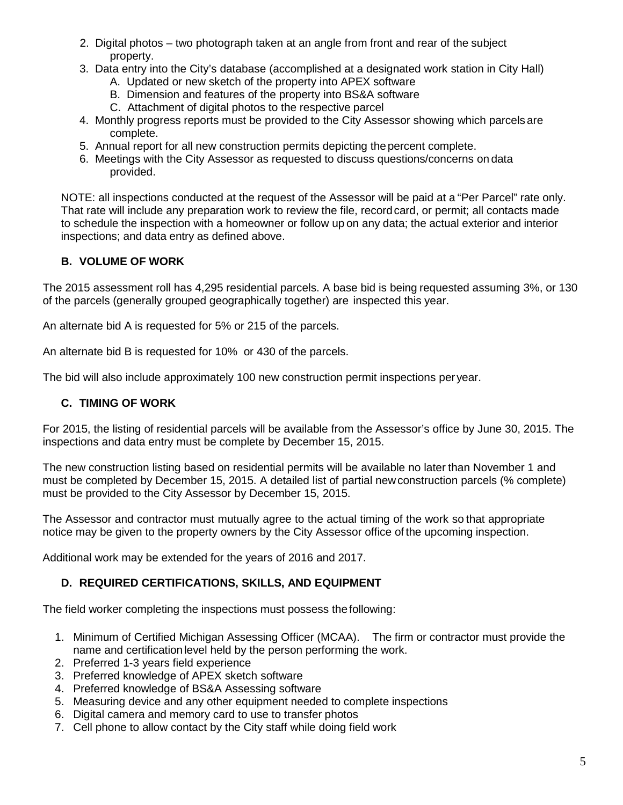- 2. Digital photos two photograph taken at an angle from front and rear of the subject property.
- 3. Data entry into the City's database (accomplished at a designated work station in City Hall)
	- A. Updated or new sketch of the property into APEX software
	- B. Dimension and features of the property into BS&A software
	- C. Attachment of digital photos to the respective parcel
- 4. Monthly progress reports must be provided to the City Assessor showing which parcels are complete.
- 5. Annual report for all new construction permits depicting thepercent complete.
- 6. Meetings with the City Assessor as requested to discuss questions/concerns on data provided.

NOTE: all inspections conducted at the request of the Assessor will be paid at a "Per Parcel" rate only. That rate will include any preparation work to review the file, recordcard, or permit; all contacts made to schedule the inspection with a homeowner or follow up on any data; the actual exterior and interior inspections; and data entry as defined above.

#### **B. VOLUME OF WORK**

The 2015 assessment roll has 4,295 residential parcels. A base bid is being requested assuming 3%, or 130 of the parcels (generally grouped geographically together) are inspected this year.

An alternate bid A is requested for 5% or 215 of the parcels.

An alternate bid B is requested for 10% or 430 of the parcels.

The bid will also include approximately 100 new construction permit inspections peryear.

#### **C. TIMING OF WORK**

For 2015, the listing of residential parcels will be available from the Assessor's office by June 30, 2015. The inspections and data entry must be complete by December 15, 2015.

The new construction listing based on residential permits will be available no later than November 1 and must be completed by December 15, 2015. A detailed list of partial newconstruction parcels (% complete) must be provided to the City Assessor by December 15, 2015.

The Assessor and contractor must mutually agree to the actual timing of the work so that appropriate notice may be given to the property owners by the City Assessor office of the upcoming inspection.

Additional work may be extended for the years of 2016 and 2017.

#### **D. REQUIRED CERTIFICATIONS, SKILLS, AND EQUIPMENT**

The field worker completing the inspections must possess the following:

- 1. Minimum of Certified Michigan Assessing Officer (MCAA). The firm or contractor must provide the name and certificationlevel held by the person performing the work.
- 2. Preferred 1-3 years field experience
- 3. Preferred knowledge of APEX sketch software
- 4. Preferred knowledge of BS&A Assessing software
- 5. Measuring device and any other equipment needed to complete inspections
- 6. Digital camera and memory card to use to transfer photos
- 7. Cell phone to allow contact by the City staff while doing field work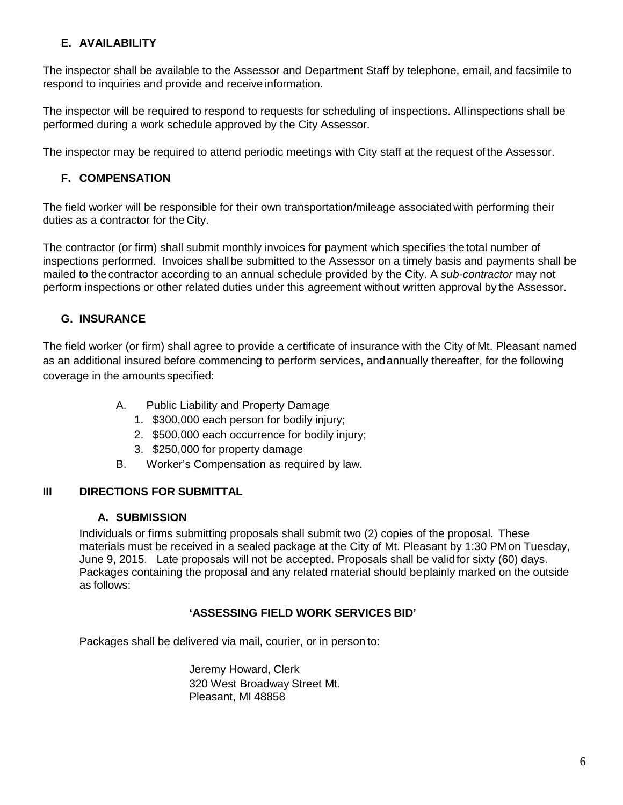#### **E. AVAILABILITY**

The inspector shall be available to the Assessor and Department Staff by telephone, email,and facsimile to respond to inquiries and provide and receive information.

The inspector will be required to respond to requests for scheduling of inspections. All inspections shall be performed during a work schedule approved by the City Assessor.

The inspector may be required to attend periodic meetings with City staff at the request ofthe Assessor.

#### **F. COMPENSATION**

The field worker will be responsible for their own transportation/mileage associatedwith performing their duties as a contractor for the City.

The contractor (or firm) shall submit monthly invoices for payment which specifies thetotal number of inspections performed. Invoices shallbe submitted to the Assessor on a timely basis and payments shall be mailed to thecontractor according to an annual schedule provided by the City. A *sub-contractor* may not perform inspections or other related duties under this agreement without written approval by the Assessor.

#### **G. INSURANCE**

The field worker (or firm) shall agree to provide a certificate of insurance with the City of Mt. Pleasant named as an additional insured before commencing to perform services, andannually thereafter, for the following coverage in the amounts specified:

- A. Public Liability and Property Damage
	- 1. \$300,000 each person for bodily injury;
	- 2. \$500,000 each occurrence for bodily injury;
	- 3. \$250,000 for property damage
- B. Worker's Compensation as required by law.

#### **III DIRECTIONS FOR SUBMITTAL**

#### **A. SUBMISSION**

Individuals or firms submitting proposals shall submit two (2) copies of the proposal. These materials must be received in a sealed package at the City of Mt. Pleasant by 1:30 PM on Tuesday, June 9, 2015. Late proposals will not be accepted. Proposals shall be validfor sixty (60) days. Packages containing the proposal and any related material should beplainly marked on the outside as follows:

#### **'ASSESSING FIELD WORK SERVICES BID'**

Packages shall be delivered via mail, courier, or in person to:

Jeremy Howard, Clerk 320 West Broadway Street Mt. Pleasant, MI 48858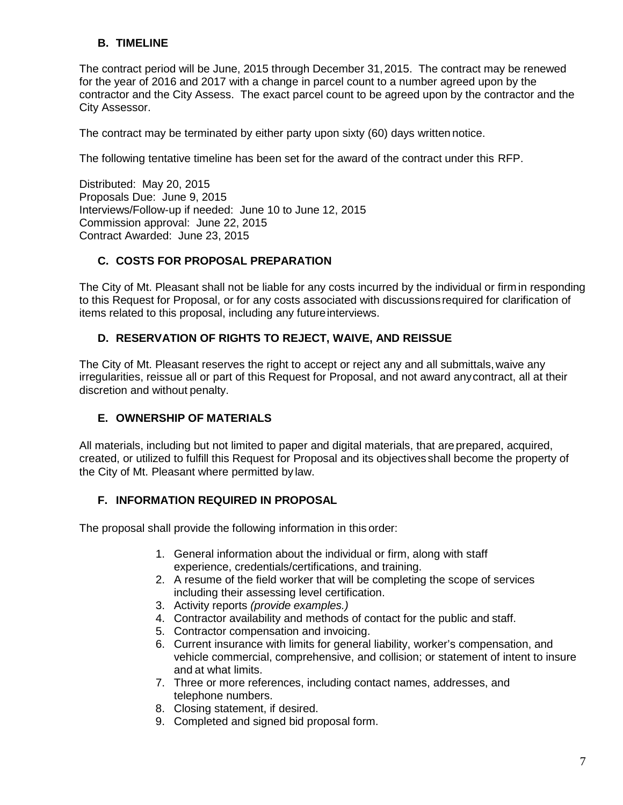#### **B. TIMELINE**

The contract period will be June, 2015 through December 31,2015. The contract may be renewed for the year of 2016 and 2017 with a change in parcel count to a number agreed upon by the contractor and the City Assess. The exact parcel count to be agreed upon by the contractor and the City Assessor.

The contract may be terminated by either party upon sixty (60) days written notice.

The following tentative timeline has been set for the award of the contract under this RFP.

Distributed: May 20, 2015 Proposals Due: June 9, 2015 Interviews/Follow-up if needed: June 10 to June 12, 2015 Commission approval: June 22, 2015 Contract Awarded: June 23, 2015

#### **C. COSTS FOR PROPOSAL PREPARATION**

The City of Mt. Pleasant shall not be liable for any costs incurred by the individual or firm in responding to this Request for Proposal, or for any costs associated with discussions required for clarification of items related to this proposal, including any future interviews.

#### **D. RESERVATION OF RIGHTS TO REJECT, WAIVE, AND REISSUE**

The City of Mt. Pleasant reserves the right to accept or reject any and all submittals,waive any irregularities, reissue all or part of this Request for Proposal, and not award anycontract, all at their discretion and without penalty.

#### **E. OWNERSHIP OF MATERIALS**

All materials, including but not limited to paper and digital materials, that areprepared, acquired, created, or utilized to fulfill this Request for Proposal and its objectives shall become the property of the City of Mt. Pleasant where permitted by law.

#### **F. INFORMATION REQUIRED IN PROPOSAL**

The proposal shall provide the following information in this order:

- 1. General information about the individual or firm, along with staff experience, credentials/certifications, and training.
- 2. A resume of the field worker that will be completing the scope of services including their assessing level certification.
- 3. Activity reports *(provide examples.)*
- 4. Contractor availability and methods of contact for the public and staff.
- 5. Contractor compensation and invoicing.
- 6. Current insurance with limits for general liability, worker's compensation, and vehicle commercial, comprehensive, and collision; or statement of intent to insure and at what limits.
- 7. Three or more references, including contact names, addresses, and telephone numbers.
- 8. Closing statement, if desired.
- 9. Completed and signed bid proposal form.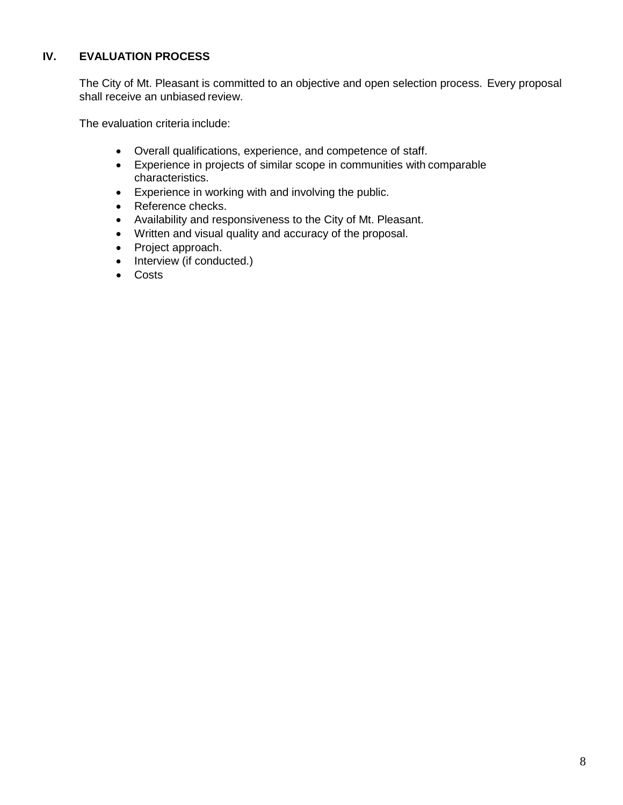#### **IV. EVALUATION PROCESS**

The City of Mt. Pleasant is committed to an objective and open selection process. Every proposal shall receive an unbiased review.

The evaluation criteria include:

- Overall qualifications, experience, and competence of staff.
- Experience in projects of similar scope in communities with comparable characteristics.
- Experience in working with and involving the public.
- Reference checks.
- Availability and responsiveness to the City of Mt. Pleasant.
- Written and visual quality and accuracy of the proposal.
- Project approach.
- Interview (if conducted.)
- Costs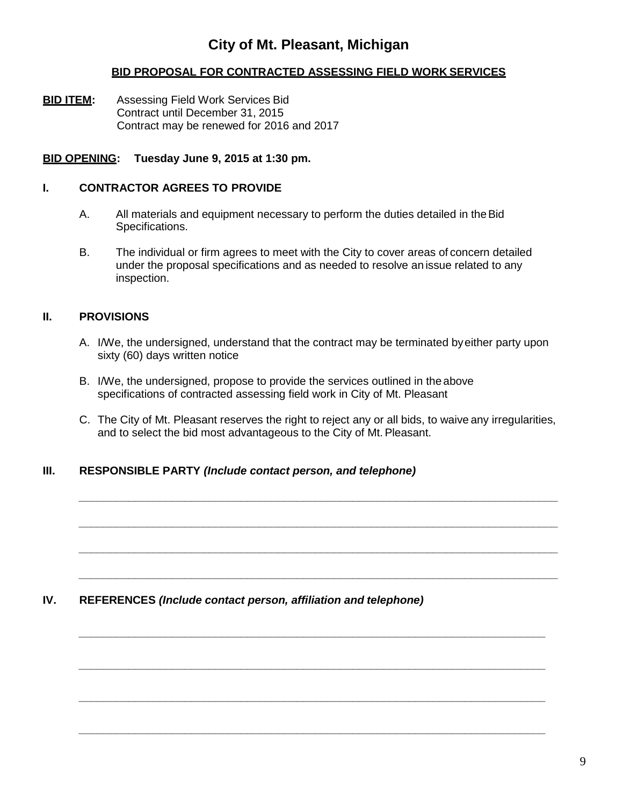#### **City of Mt. Pleasant, Michigan**

#### **BID PROPOSAL FOR CONTRACTED ASSESSING FIELD WORK SERVICES**

**BID ITEM:** Assessing Field Work Services Bid Contract until December 31, 2015 Contract may be renewed for 2016 and 2017

#### **BID OPENING: Tuesday June 9, 2015 at 1:30 pm.**

#### **I. CONTRACTOR AGREES TO PROVIDE**

- A. All materials and equipment necessary to perform the duties detailed in the Bid Specifications.
- B. The individual or firm agrees to meet with the City to cover areas of concern detailed under the proposal specifications and as needed to resolve an issue related to any inspection.

#### **II. PROVISIONS**

- A. I/We, the undersigned, understand that the contract may be terminated byeither party upon sixty (60) days written notice
- B. I/We, the undersigned, propose to provide the services outlined in the above specifications of contracted assessing field work in City of Mt. Pleasant
- C. The City of Mt. Pleasant reserves the right to reject any or all bids, to waive any irregularities, and to select the bid most advantageous to the City of Mt.Pleasant.

*\_\_\_\_\_\_\_\_\_\_\_\_\_\_\_\_\_\_\_\_\_\_\_\_\_\_\_\_\_\_\_\_\_\_\_\_\_\_\_\_\_\_\_\_\_\_\_\_\_\_\_\_\_\_\_\_\_\_\_\_\_\_\_\_\_\_\_\_\_\_\_\_\_\_\_\_\_*

*\_\_\_\_\_\_\_\_\_\_\_\_\_\_\_\_\_\_\_\_\_\_\_\_\_\_\_\_\_\_\_\_\_\_\_\_\_\_\_\_\_\_\_\_\_\_\_\_\_\_\_\_\_\_\_\_\_\_\_\_\_\_\_\_\_\_\_\_\_\_\_\_\_\_\_\_\_*

*\_\_\_\_\_\_\_\_\_\_\_\_\_\_\_\_\_\_\_\_\_\_\_\_\_\_\_\_\_\_\_\_\_\_\_\_\_\_\_\_\_\_\_\_\_\_\_\_\_\_\_\_\_\_\_\_\_\_\_\_\_\_\_\_\_\_\_\_\_\_\_\_\_\_\_\_\_*

*\_\_\_\_\_\_\_\_\_\_\_\_\_\_\_\_\_\_\_\_\_\_\_\_\_\_\_\_\_\_\_\_\_\_\_\_\_\_\_\_\_\_\_\_\_\_\_\_\_\_\_\_\_\_\_\_\_\_\_\_\_\_\_\_\_\_\_\_\_\_\_\_\_\_\_\_\_*

*\_\_\_\_\_\_\_\_\_\_\_\_\_\_\_\_\_\_\_\_\_\_\_\_\_\_\_\_\_\_\_\_\_\_\_\_\_\_\_\_\_\_\_\_\_\_\_\_\_\_\_\_\_\_\_\_\_\_\_\_\_\_\_\_\_\_\_\_\_\_\_\_\_\_\_*

*\_\_\_\_\_\_\_\_\_\_\_\_\_\_\_\_\_\_\_\_\_\_\_\_\_\_\_\_\_\_\_\_\_\_\_\_\_\_\_\_\_\_\_\_\_\_\_\_\_\_\_\_\_\_\_\_\_\_\_\_\_\_\_\_\_\_\_\_\_\_\_\_\_\_\_*

*\_\_\_\_\_\_\_\_\_\_\_\_\_\_\_\_\_\_\_\_\_\_\_\_\_\_\_\_\_\_\_\_\_\_\_\_\_\_\_\_\_\_\_\_\_\_\_\_\_\_\_\_\_\_\_\_\_\_\_\_\_\_\_\_\_\_\_\_\_\_\_\_\_\_\_*

*\_\_\_\_\_\_\_\_\_\_\_\_\_\_\_\_\_\_\_\_\_\_\_\_\_\_\_\_\_\_\_\_\_\_\_\_\_\_\_\_\_\_\_\_\_\_\_\_\_\_\_\_\_\_\_\_\_\_\_\_\_\_\_\_\_\_\_\_\_\_\_\_\_\_\_*

#### **III. RESPONSIBLE PARTY** *(Include contact person, and telephone)*

#### **IV. REFERENCES** *(Include contact person, affiliation and telephone)*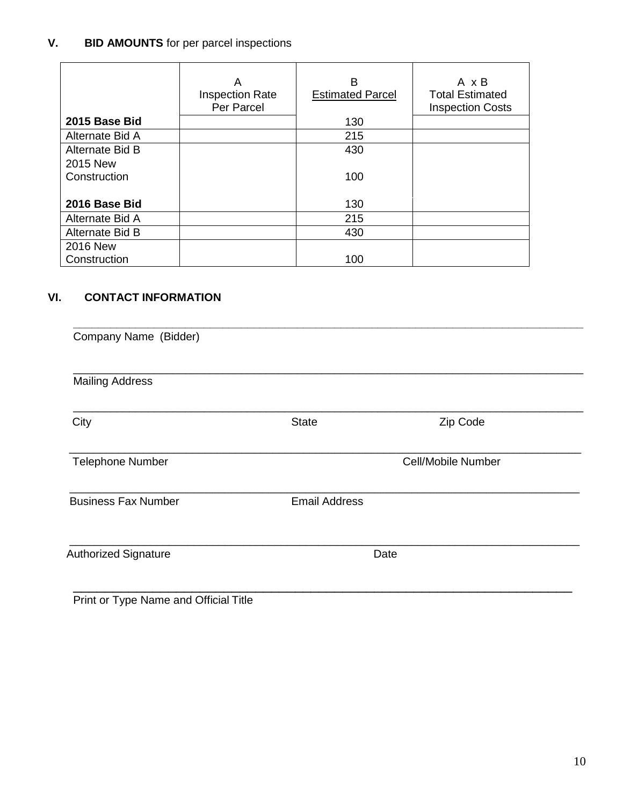#### **V. BID AMOUNTS** for per parcel inspections

|                 | A<br><b>Inspection Rate</b><br>Per Parcel | B<br><b>Estimated Parcel</b> | A x B<br><b>Total Estimated</b><br><b>Inspection Costs</b> |
|-----------------|-------------------------------------------|------------------------------|------------------------------------------------------------|
| 2015 Base Bid   |                                           | 130                          |                                                            |
| Alternate Bid A |                                           | 215                          |                                                            |
| Alternate Bid B |                                           | 430                          |                                                            |
| 2015 New        |                                           |                              |                                                            |
| Construction    |                                           | 100                          |                                                            |
|                 |                                           |                              |                                                            |
| 2016 Base Bid   |                                           | 130                          |                                                            |
| Alternate Bid A |                                           | 215                          |                                                            |
| Alternate Bid B |                                           | 430                          |                                                            |
| 2016 New        |                                           |                              |                                                            |
| Construction    |                                           | 100                          |                                                            |

#### **VI. CONTACT INFORMATION**

| <b>Mailing Address</b>      |                      |                    |
|-----------------------------|----------------------|--------------------|
| City                        | <b>State</b>         | Zip Code           |
| <b>Telephone Number</b>     |                      | Cell/Mobile Number |
| <b>Business Fax Number</b>  | <b>Email Address</b> |                    |
| <b>Authorized Signature</b> |                      | Date               |

Print or Type Name and Official Title